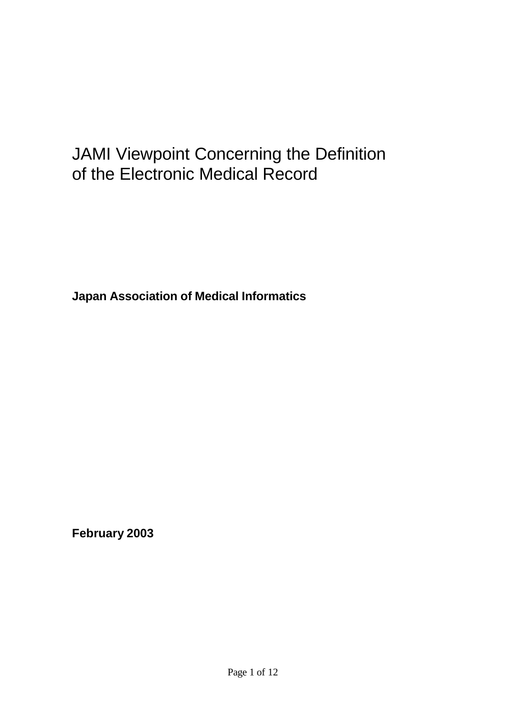# JAMI Viewpoint Concerning the Definition of the Electronic Medical Record

**Japan Association of Medical Informatics**

**February 2003**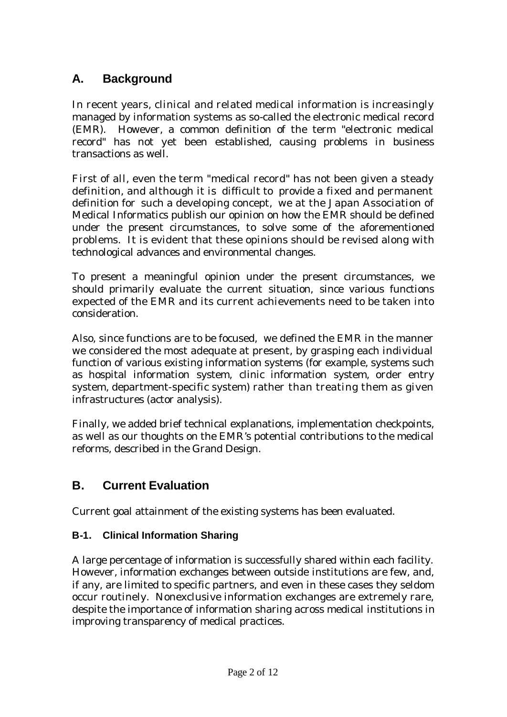# **A. Background**

In recent years, clinical and related medical information is increasingly managed by information systems as so-called the electronic medical record (EMR). However, a common definition of the term "electronic medical record" has not yet been established, causing problems in business transactions as well.

First of all, even the term "medical record" has not been given a steady definition, and although it is difficult to provide a fixed and permanent definition for such a developing concept, we at the Japan Association of Medical Informatics publish our opinion on how the EMR should be defined under the present circumstances, to solve some of the aforementioned problems. It is evident that these opinions should be revised along with technological advances and environmental changes.

To present a meaningful opinion under the present circumstances, we should primarily evaluate the current situation, since various functions expected of the EMR and its current achievements need to be taken into consideration.

Also, since functions are to be focused, we defined the EMR in the manner we considered the most adequate at present, by grasping each individual function of various existing information systems (for example, systems such as hospital information system, clinic information system, order entry system, department-specific system) rather than treating them as given infrastructures (actor analysis).

Finally, we added brief technical explanations, implementation checkpoints, as well as our thoughts on the EMR's potential contributions to the medical reforms, described in the Grand Design.

# **B. Current Evaluation**

Current goal attainment of the existing systems has been evaluated.

#### **B-1. Clinical Information Sharing**

A large percentage of information is successfully shared within each facility. However, information exchanges between outside institutions are few, and, if any, are limited to specific partners, and even in these cases they seldom occur routinely. Nonexclusive information exchanges are extremely rare, despite the importance of information sharing across medical institutions in improving transparency of medical practices.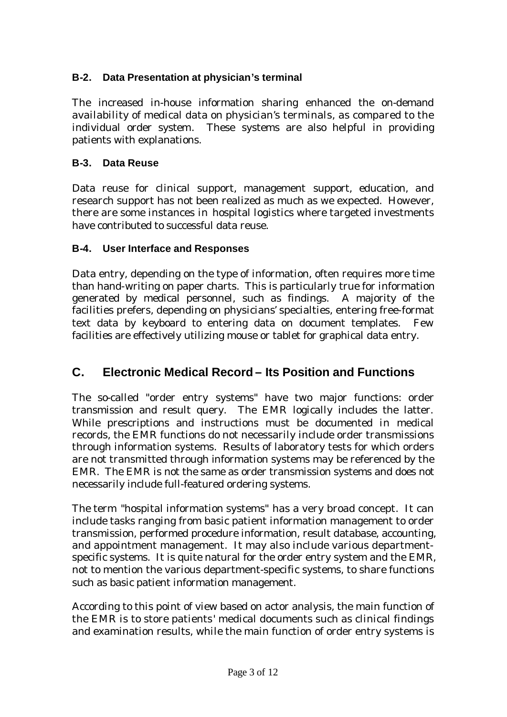### **B-2. Data Presentation at physician's terminal**

The increased in-house information sharing enhanced the on-demand availability of medical data on physician's terminals, as compared to the individual order system. These systems are also helpful in providing patients with explanations.

#### **B-3. Data Reuse**

Data reuse for clinical support, management support, education, and research support has not been realized as much as we expected. However, there are some instances in hospital logistics where targeted investments have contributed to successful data reuse.

#### **B-4. User Interface and Responses**

Data entry, depending on the type of information, often requires more time than hand-writing on paper charts. This is particularly true for information generated by medical personnel, such as findings. A majority of the facilities prefers, depending on physicians' specialties, entering free-format text data by keyboard to entering data on document templates. Few facilities are effectively utilizing mouse or tablet for graphical data entry.

# **C. Electronic Medical Record – Its Position and Functions**

The so-called "order entry systems" have two major functions: order transmission and result query. The EMR logically includes the latter. While prescriptions and instructions must be documented in medical records, the EMR functions do not necessarily include order transmissions through information systems. Results of laboratory tests for which orders are not transmitted through information systems may be referenced by the EMR. The EMR is not the same as order transmission systems and does not necessarily include full-featured ordering systems.

The term "hospital information systems" has a very broad concept. It can include tasks ranging from basic patient information management to order transmission, performed procedure information, result database, accounting, and appointment management. It may also include various departmentspecific systems. It is quite natural for the order entry system and the EMR, not to mention the various department-specific systems, to share functions such as basic patient information management.

According to this point of view based on actor analysis, the main function of the EMR is to store patients' medical documents such as clinical findings and examination results, while the main function of order entry systems is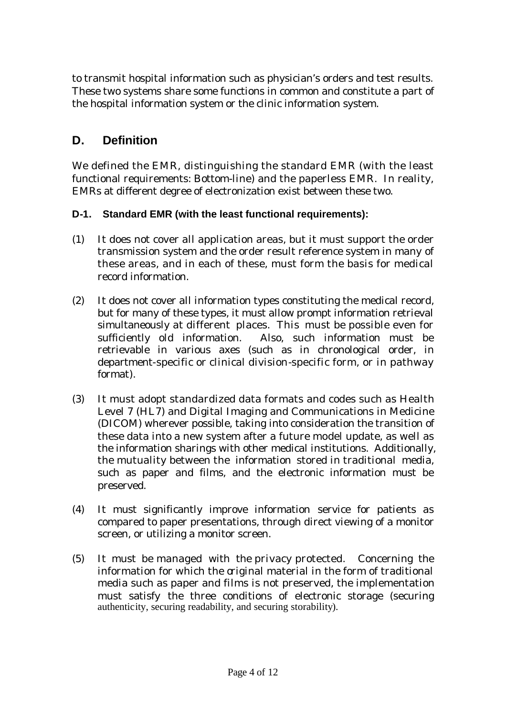to transmit hospital information such as physician's orders and test results. These two systems share some functions in common and constitute a part of the hospital information system or the clinic information system.

# **D. Definition**

We defined the EMR, distinguishing the standard EMR (with the least functional requirements: Bottom-line) and the paperless EMR. In reality, EMRs at different degree of electronization exist between these two.

#### **D-1. Standard EMR (with the least functional requirements):**

- (1) It does not cover all application areas, but it must support the order transmission system and the order result reference system in many of these areas, and in each of these, must form the basis for medical record information.
- (2) It does not cover all information types constituting the medical record, but for many of these types, it must allow prompt information retrieval simultaneously at different places. This must be possible even for sufficiently old information. Also, such information must be retrievable in various axes (such as in chronological order, in department-specific or clinical division-specific form, or in pathway format).
- (3) It must adopt standardized data formats and codes such as Health Level 7 (HL7) and Digital Imaging and Communications in Medicine (DICOM) wherever possible, taking into consideration the transition of these data into a new system after a future model update, as well as the information sharings with other medical institutions. Additionally, the mutuality between the information stored in traditional media, such as paper and films, and the electronic information must be preserved.
- (4) It must significantly improve information service for patients as compared to paper presentations, through direct viewing of a monitor screen, or utilizing a monitor screen.
- (5) It must be managed with the privacy protected. Concerning the information for which the original material in the form of traditional media such as paper and films is not preserved, the implementation must satisfy the three conditions of electronic storage (securing authenticity, securing readability, and securing storability).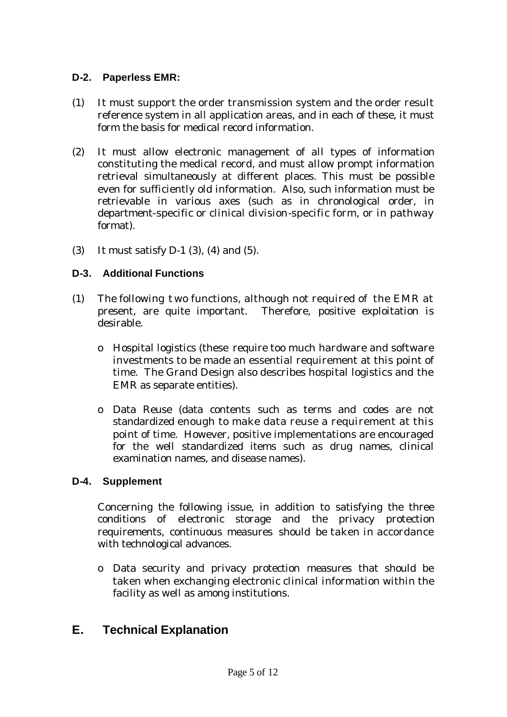#### **D-2. Paperless EMR:**

- (1) It must support the order transmission system and the order result reference system in all application areas, and in each of these, it must form the basis for medical record information.
- (2) It must allow electronic management of all types of information constituting the medical record, and must allow prompt information retrieval simultaneously at different places. This must be possible even for sufficiently old information. Also, such information must be retrievable in various axes (such as in chronological order, in department-specific or clinical division-specific form, or in pathway format).
- (3) It must satisfy D-1 (3), (4) and (5).

#### **D-3. Additional Functions**

- (1) The following t wo functions, although not required of the EMR at present, are quite important. Therefore, positive exploitation is desirable.
	- o Hospital logistics (these require too much hardware and software investments to be made an essential requirement at this point of time. The Grand Design also describes hospital logistics and the EMR as separate entities).
	- o Data Reuse (data contents such as terms and codes are not standardized enough to make data reuse a requirement at this point of time. However, positive implementations are encouraged for the well standardized items such as drug names, clinical examination names, and disease names).

#### **D-4. Supplement**

Concerning the following issue, in addition to satisfying the three conditions of electronic storage and the privacy protection requirements, continuous measures should be taken in accordance with technological advances.

o Data security and privacy protection measures that should be taken when exchanging electronic clinical information within the facility as well as among institutions.

## **E. Technical Explanation**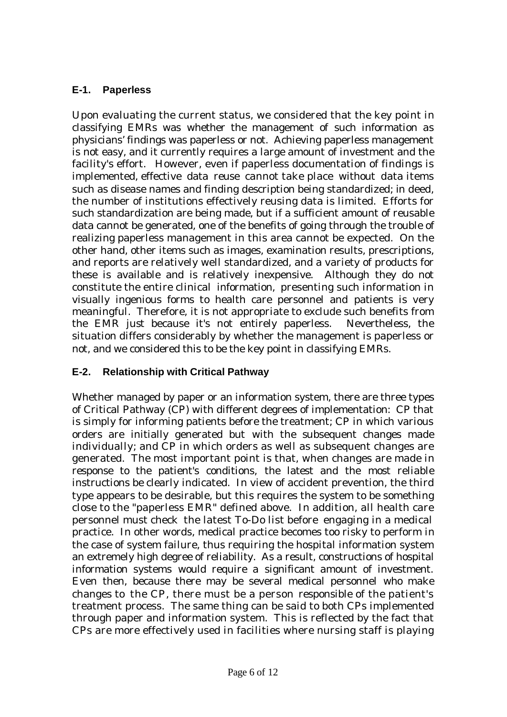#### **E-1. Paperless**

Upon evaluating the current status, we considered that the key point in classifying EMRs was whether the management of such information as physicians' findings was paperless or not. Achieving paperless management is not easy, and it currently requires a large amount of investment and the facility's effort. However, even if paperless documentation of findings is implemented, effective data reuse cannot take place without data items such as disease names and finding description being standardized; in deed, the number of institutions effectively reusing data is limited. Efforts for such standardization are being made, but if a sufficient amount of reusable data cannot be generated, one of the benefits of going through the trouble of realizing paperless management in this area cannot be expected. On the other hand, other items such as images, examination results, prescriptions, and reports are relatively well standardized, and a variety of products for these is available and is relatively inexpensive. Although they do not constitute the entire clinical information, presenting such information in visually ingenious forms to health care personnel and patients is very meaningful. Therefore, it is not appropriate to exclude such benefits from the EMR just because it's not entirely paperless. Nevertheless, the situation differs considerably by whether the management is paperless or not, and we considered this to be the key point in classifying EMRs.

#### **E-2. Relationship with Critical Pathway**

Whether managed by paper or an information system, there are three types of Critical Pathway (CP) with different degrees of implementation: CP that is simply for informing patients before the treatment; CP in which various orders are initially generated but with the subsequent changes made individually; and CP in which orders as well as subsequent changes are generated. The most important point is that, when changes are made in response to the patient's conditions, the latest and the most reliable instructions be clearly indicated. In view of accident prevention, the third type appears to be desirable, but this requires the system to be something close to the "paperless EMR" defined above. In addition, all health care personnel must check the latest To-Do list before engaging in a medical practice. In other words, medical practice becomes too risky to perform in the case of system failure, thus requiring the hospital information system an extremely high degree of reliability. As a result, constructions of hospital information systems would require a significant amount of investment. Even then, because there may be several medical personnel who make changes to the CP, there must be a person responsible of the patient's treatment process. The same thing can be said to both CPs implemented through paper and information system. This is reflected by the fact that CPs are more effectively used in facilities where nursing staff is playing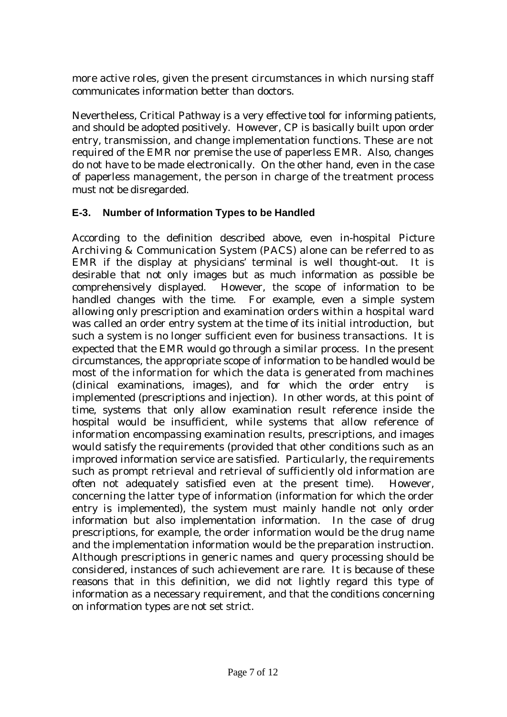more active roles, given the present circumstances in which nursing staff communicates information better than doctors.

Nevertheless, Critical Pathway is a very effective tool for informing patients, and should be adopted positively. However, CP is basically built upon order entry, transmission, and change implementation functions. These are not required of the EMR nor premise the use of paperless EMR. Also, changes do not have to be made electronically. On the other hand, even in the case of paperless management, the person in charge of the treatment process must not be disregarded.

#### **E-3. Number of Information Types to be Handled**

According to the definition described above, even in-hospital Picture Archiving & Communication System (PACS) alone can be referred to as EMR if the display at physicians' terminal is well thought-out. It is desirable that not only images but as much information as possible be comprehensively displayed. However, the scope of information to be handled changes with the time. For example, even a simple system allowing only prescription and examination orders within a hospital ward was called an order entry system at the time of its initial introduction, but such a system is no longer sufficient even for business transactions. It is expected that the EMR would go through a similar process. In the present circumstances, the appropriate scope of information to be handled would be most of the information for which the data is generated from machines (clinical examinations, images), and for which the order entry is implemented (prescriptions and injection). In other words, at this point of time, systems that only allow examination result reference inside the hospital would be insufficient, while systems that allow reference of information encompassing examination results, prescriptions, and images would satisfy the requirements (provided that other conditions such as an improved information service are satisfied. Particularly, the requirements such as prompt retrieval and retrieval of sufficiently old information are often not adequately satisfied even at the present time). However, concerning the latter type of information (information for which the order entry is implemented), the system must mainly handle not only order information but also implementation information. In the case of drug prescriptions, for example, the order information would be the drug name and the implementation information would be the preparation instruction. Although prescriptions in generic names and query processing should be considered, instances of such achievement are rare. It is because of these reasons that in this definition, we did not lightly regard this type of information as a necessary requirement, and that the conditions concerning on information types are not set strict.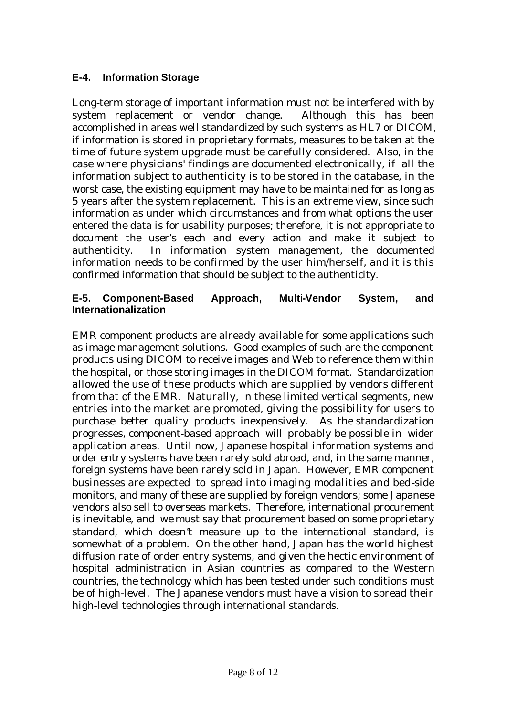#### **E-4. Information Storage**

Long-term storage of important information must not be interfered with by system replacement or vendor change. Although this has been accomplished in areas well standardized by such systems as HL7 or DICOM, if information is stored in proprietary formats, measures to be taken at the time of future system upgrade must be carefully considered. Also, in the case where physicians' findings are documented electronically, if all the information subject to authenticity is to be stored in the database, in the worst case, the existing equipment may have to be maintained for as long as 5 years after the system replacement. This is an extreme view, since such information as under which circumstances and from what options the user entered the data is for usability purposes; therefore, it is not appropriate to document the user's each and every action and make it subject to authenticity. In information system management, the documented information needs to be confirmed by the user him/herself, and it is this confirmed information that should be subject to the authenticity.

#### **E-5. Component-Based Approach, Multi-Vendor System, and Internationalization**

EMR component products are already available for some applications such as image management solutions. Good examples of such are the component products using DICOM to receive images and Web to reference them within the hospital, or those storing images in the DICOM format. Standardization allowed the use of these products which are supplied by vendors different from that of the EMR. Naturally, in these limited vertical segments, new entries into the market are promoted, giving the possibility for users to purchase better quality products inexpensively. As the standardization progresses, component-based approach will probably be possible in wider application areas. Until now, Japanese hospital information systems and order entry systems have been rarely sold abroad, and, in the same manner, foreign systems have been rarely sold in Japan. However, EMR component businesses are expected to spread into imaging modalities and bed-side monitors, and many of these are supplied by foreign vendors; some Japanese vendors also sell to overseas markets. Therefore, international procurement is inevitable, and we must say that procurement based on some proprietary standard, which doesn't measure up to the international standard, is somewhat of a problem. On the other hand, Japan has the world highest diffusion rate of order entry systems, and given the hectic environment of hospital administration in Asian countries as compared to the Western countries, the technology which has been tested under such conditions must be of high-level. The Japanese vendors must have a vision to spread their high-level technologies through international standards.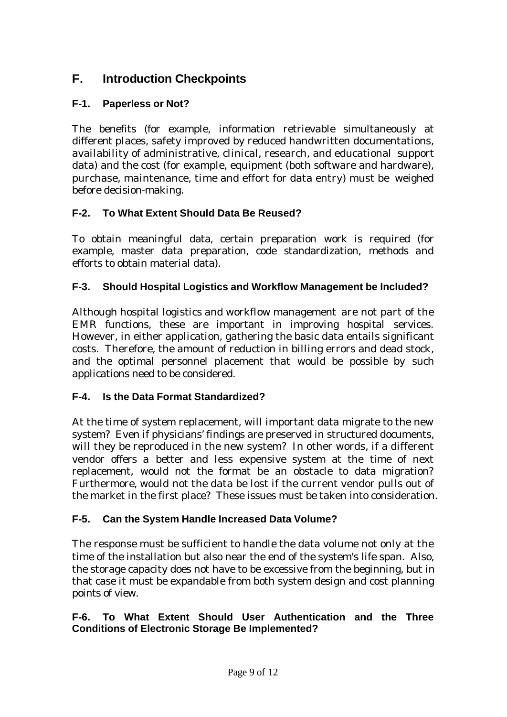# **F. Introduction Checkpoints**

#### **F-1. Paperless or Not?**

The benefits (for example, information retrievable simultaneously at different places, safety improved by reduced handwritten documentations, availability of administrative, clinical, research, and educational support data) and the cost (for example, equipment (both software and hardware), purchase, maintenance, time and effort for data entry) must be weighed before decision-making.

#### **F-2. To What Extent Should Data Be Reused?**

To obtain meaningful data, certain preparation work is required (for example, master data preparation, code standardization, methods and efforts to obtain material data).

#### **F-3. Should Hospital Logistics and Workflow Management be Included?**

Although hospital logistics and workflow management are not part of the EMR functions, these are important in improving hospital services. However, in either application, gathering the basic data entails significant costs. Therefore, the amount of reduction in billing errors and dead stock, and the optimal personnel placement that would be possible by such applications need to be considered.

#### **F-4. Is the Data Format Standardized?**

At the time of system replacement, will important data migrate to the new system? Even if physicians' findings are preserved in structured documents, will they be reproduced in the new system? In other words, if a different vendor offers a better and less expensive system at the time of next replacement, would not the format be an obstacle to data migration? Furthermore, would not the data be lost if the current vendor pulls out of the market in the first place? These issues must be taken into consideration.

#### **F-5. Can the System Handle Increased Data Volume?**

The response must be sufficient to handle the data volume not only at the time of the installation but also near the end of the system's life span. Also, the storage capacity does not have to be excessive from the beginning, but in that case it must be expandable from both system design and cost planning points of view.

#### **F-6. To What Extent Should User Authentication and the Three Conditions of Electronic Storage Be Implemented?**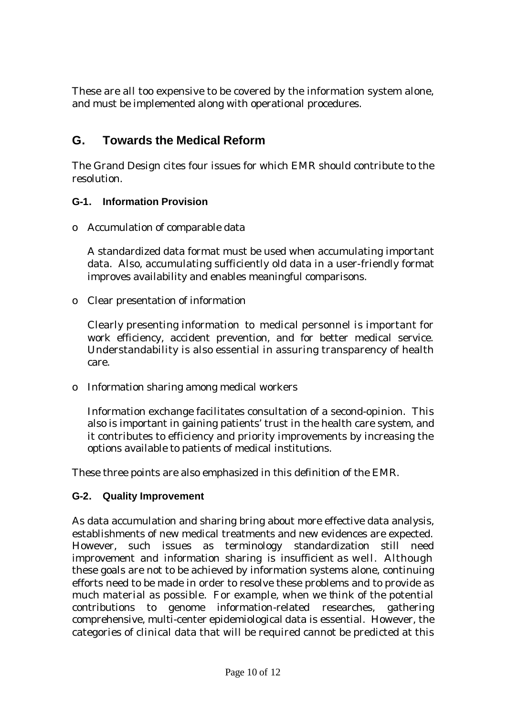These are all too expensive to be covered by the information system alone, and must be implemented along with operational procedures.

# **G. Towards the Medical Reform**

The Grand Design cites four issues for which EMR should contribute to the resolution.

#### **G-1. Information Provision**

o Accumulation of comparable data

A standardized data format must be used when accumulating important data. Also, accumulating sufficiently old data in a user-friendly format improves availability and enables meaningful comparisons.

o Clear presentation of information

Clearly presenting information to medical personnel is important for work efficiency, accident prevention, and for better medical service. Understandability is also essential in assuring transparency of health care.

o Information sharing among medical workers

Information exchange facilitates consultation of a second-opinion. This also is important in gaining patients' trust in the health care system, and it contributes to efficiency and priority improvements by increasing the options available to patients of medical institutions.

These three points are also emphasized in this definition of the EMR.

#### **G-2. Quality Improvement**

As data accumulation and sharing bring about more effective data analysis, establishments of new medical treatments and new evidences are expected. However, such issues as terminology standardization still need improvement and information sharing is insufficient as well. Although these goals are not to be achieved by information systems alone, continuing efforts need to be made in order to resolve these problems and to provide as much material as possible. For example, when we think of the potential contributions to genome information-related researches, gathering comprehensive, multi-center epidemiological data is essential. However, the categories of clinical data that will be required cannot be predicted at this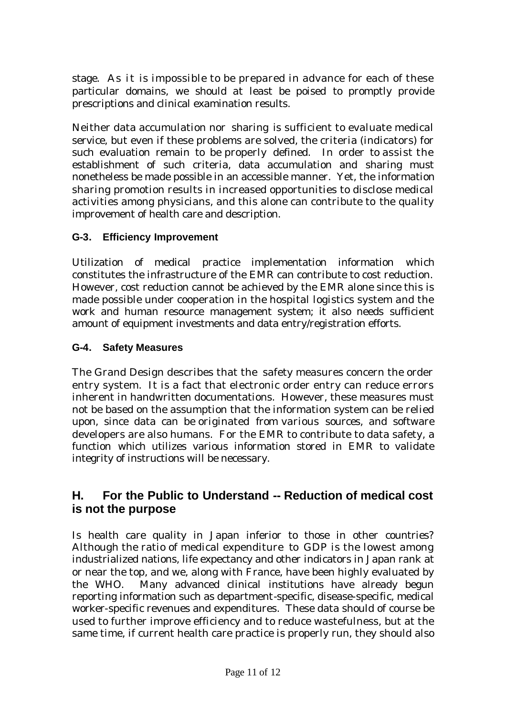stage. As it is impossible to be prepared in advance for each of these particular domains, we should at least be poised to promptly provide prescriptions and clinical examination results.

Neither data accumulation nor sharing is sufficient to evaluate medical service, but even if these problems are solved, the criteria (indicators) for such evaluation remain to be properly defined. In order to assist the establishment of such criteria, data accumulation and sharing must nonetheless be made possible in an accessible manner. Yet, the information sharing promotion results in increased opportunities to disclose medical activities among physicians, and this alone can contribute to the quality improvement of health care and description.

## **G-3. Efficiency Improvement**

Utilization of medical practice implementation information which constitutes the infrastructure of the EMR can contribute to cost reduction. However, cost reduction cannot be achieved by the EMR alone since this is made possible under cooperation in the hospital logistics system and the work and human resource management system; it also needs sufficient amount of equipment investments and data entry/registration efforts.

#### **G-4. Safety Measures**

The Grand Design describes that the safety measures concern the order entry system. It is a fact that electronic order entry can reduce errors inherent in handwritten documentations. However, these measures must not be based on the assumption that the information system can be relied upon, since data can be originated from various sources, and software developers are also humans. For the EMR to contribute to data safety, a function which utilizes various information stored in EMR to validate integrity of instructions will be necessary.

## **H. For the Public to Understand -- Reduction of medical cost is not the purpose**

Is health care quality in Japan inferior to those in other countries? Although the ratio of medical expenditure to GDP is the lowest among industrialized nations, life expectancy and other indicators in Japan rank at or near the top, and we, along with France, have been highly evaluated by the WHO. Many advanced clinical institutions have already begun reporting information such as department-specific, disease-specific, medical worker-specific revenues and expenditures. These data should of course be used to further improve efficiency and to reduce wastefulness, but at the same time, if current health care practice is properly run, they should also